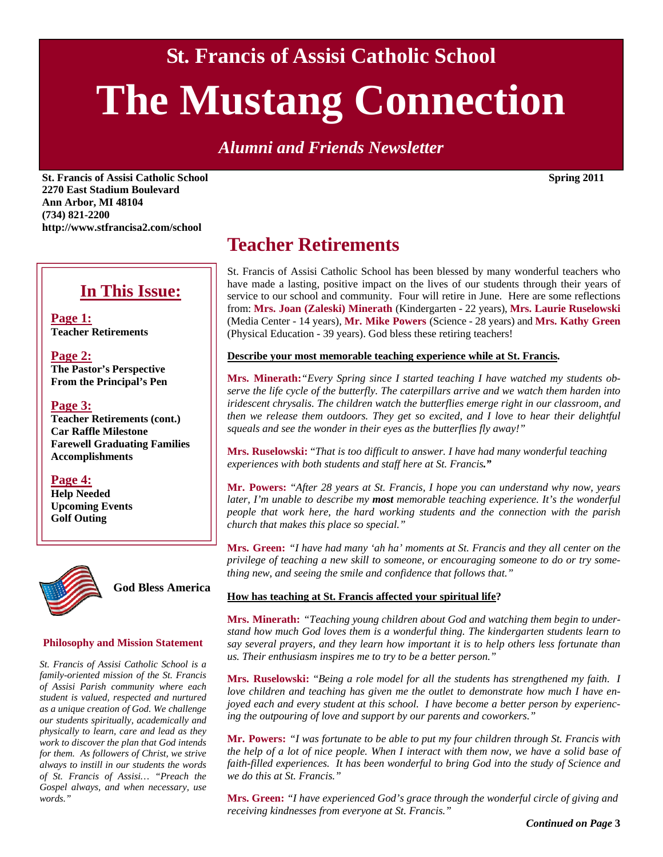**St. Francis of Assisi Catholic School** 

# **The Mustang Connection**

*Alumni and Friends Newsletter* 

**St. Francis of Assisi Catholic School Spring 2011 2270 East Stadium Boulevard Ann Arbor, MI 48104 (734) 821-2200 http://www.stfrancisa2.com/school** 

### **In This Issue:**

**Page 1: Teacher Retirements** 

**Page 2: The Pastor's Perspective From the Principal's Pen** 

#### **Page 3:**

**Teacher Retirements (cont.) Car Raffle Milestone Farewell Graduating Families Accomplishments** 

#### **Page 4:**

**Help Needed Upcoming Events Golf Outing** 



**God Bless America** 

#### **Philosophy and Mission Statement**

*St. Francis of Assisi Catholic School is a family-oriented mission of the St. Francis of Assisi Parish community where each student is valued, respected and nurtured as a unique creation of God. We challenge our students spiritually, academically and physically to learn, care and lead as they work to discover the plan that God intends for them. As followers of Christ, we strive always to instill in our students the words of St. Francis of Assisi… "Preach the Gospel always, and when necessary, use words."* 

### **Teacher Retirements**

St. Francis of Assisi Catholic School has been blessed by many wonderful teachers who have made a lasting, positive impact on the lives of our students through their years of service to our school and community. Four will retire in June. Here are some reflections from: **Mrs. Joan (Zaleski) Minerath** (Kindergarten - 22 years), **Mrs. Laurie Ruselowski**  (Media Center - 14 years), **Mr. Mike Powers** (Science - 28 years) and **Mrs. Kathy Green**  (Physical Education - 39 years). God bless these retiring teachers!

**Describe your most memorable teaching experience while at St. Francis.** 

**Mrs. Minerath:***"Every Spring since I started teaching I have watched my students observe the life cycle of the butterfly. The caterpillars arrive and we watch them harden into iridescent chrysalis. The children watch the butterflies emerge right in our classroom, and then we release them outdoors. They get so excited, and I love to hear their delightful squeals and see the wonder in their eyes as the butterflies fly away!"* 

**Mrs. Ruselowski:** "*That is too difficult to answer. I have had many wonderful teaching experiences with both students and staff here at St. Francis."*

**Mr. Powers:** "*After 28 years at St. Francis, I hope you can understand why now, years later, I'm unable to describe my most memorable teaching experience. It's the wonderful people that work here, the hard working students and the connection with the parish church that makes this place so special."* 

**Mrs. Green:** *"I have had many 'ah ha' moments at St. Francis and they all center on the privilege of teaching a new skill to someone, or encouraging someone to do or try something new, and seeing the smile and confidence that follows that."*

#### **How has teaching at St. Francis affected your spiritual life?**

**Mrs. Minerath:** *"Teaching young children about God and watching them begin to understand how much God loves them is a wonderful thing. The kindergarten students learn to say several prayers, and they learn how important it is to help others less fortunate than us. Their enthusiasm inspires me to try to be a better person."* 

**Mrs. Ruselowski:** "*Being a role model for all the students has strengthened my faith. I love children and teaching has given me the outlet to demonstrate how much I have enjoyed each and every student at this school. I have become a better person by experiencing the outpouring of love and support by our parents and coworkers."* 

**Mr. Powers:** *"I was fortunate to be able to put my four children through St. Francis with the help of a lot of nice people. When I interact with them now, we have a solid base of faith-filled experiences. It has been wonderful to bring God into the study of Science and we do this at St. Francis."* 

**Mrs. Green:** *"I have experienced God's grace through the wonderful circle of giving and receiving kindnesses from everyone at St. Francis."*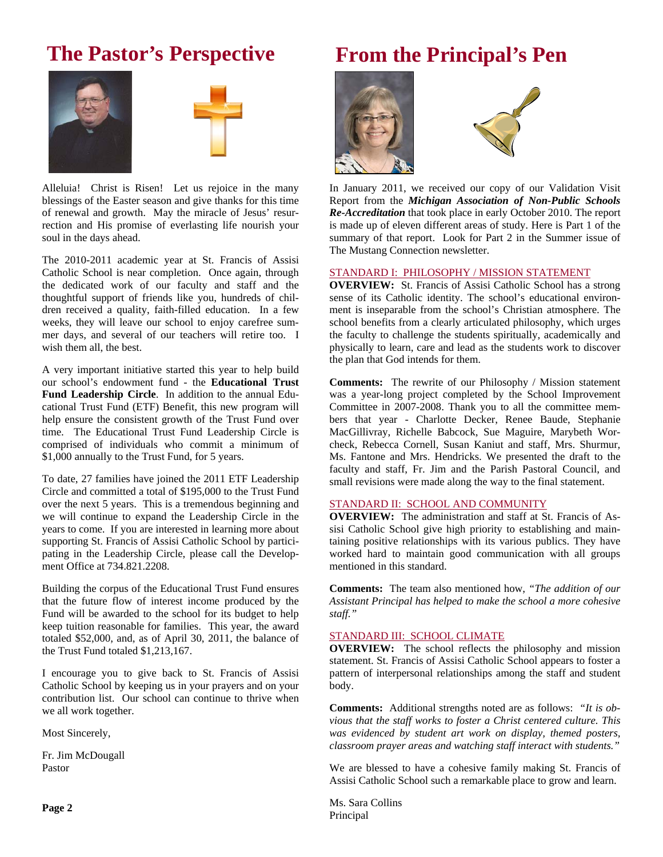### **The Pastor's Perspective**





Alleluia! Christ is Risen! Let us rejoice in the many blessings of the Easter season and give thanks for this time of renewal and growth. May the miracle of Jesus' resurrection and His promise of everlasting life nourish your soul in the days ahead.

The 2010-2011 academic year at St. Francis of Assisi Catholic School is near completion. Once again, through the dedicated work of our faculty and staff and the thoughtful support of friends like you, hundreds of children received a quality, faith-filled education. In a few weeks, they will leave our school to enjoy carefree summer days, and several of our teachers will retire too. I wish them all, the best.

A very important initiative started this year to help build our school's endowment fund - the **Educational Trust Fund Leadership Circle**. In addition to the annual Educational Trust Fund (ETF) Benefit, this new program will help ensure the consistent growth of the Trust Fund over time. The Educational Trust Fund Leadership Circle is comprised of individuals who commit a minimum of \$1,000 annually to the Trust Fund, for 5 years.

To date, 27 families have joined the 2011 ETF Leadership Circle and committed a total of \$195,000 to the Trust Fund over the next 5 years. This is a tremendous beginning and we will continue to expand the Leadership Circle in the years to come. If you are interested in learning more about supporting St. Francis of Assisi Catholic School by participating in the Leadership Circle, please call the Development Office at 734.821.2208.

Building the corpus of the Educational Trust Fund ensures that the future flow of interest income produced by the Fund will be awarded to the school for its budget to help keep tuition reasonable for families. This year, the award totaled \$52,000, and, as of April 30, 2011, the balance of the Trust Fund totaled \$1,213,167.

I encourage you to give back to St. Francis of Assisi Catholic School by keeping us in your prayers and on your contribution list. Our school can continue to thrive when we all work together.

Most Sincerely,

Fr. Jim McDougall Pastor

### **From the Principal's Pen**





In January 2011, we received our copy of our Validation Visit Report from the *Michigan Association of Non-Public Schools Re-Accreditation* that took place in early October 2010. The report is made up of eleven different areas of study. Here is Part 1 of the summary of that report. Look for Part 2 in the Summer issue of The Mustang Connection newsletter.

#### STANDARD I: PHILOSOPHY / MISSION STATEMENT

**OVERVIEW:** St. Francis of Assisi Catholic School has a strong sense of its Catholic identity. The school's educational environment is inseparable from the school's Christian atmosphere. The school benefits from a clearly articulated philosophy, which urges the faculty to challenge the students spiritually, academically and physically to learn, care and lead as the students work to discover the plan that God intends for them.

**Comments:** The rewrite of our Philosophy / Mission statement was a year-long project completed by the School Improvement Committee in 2007-2008. Thank you to all the committee members that year - Charlotte Decker, Renee Baude, Stephanie MacGillivray, Richelle Babcock, Sue Maguire, Marybeth Worcheck, Rebecca Cornell, Susan Kaniut and staff, Mrs. Shurmur, Ms. Fantone and Mrs. Hendricks. We presented the draft to the faculty and staff, Fr. Jim and the Parish Pastoral Council, and small revisions were made along the way to the final statement.

#### STANDARD II: SCHOOL AND COMMUNITY

**OVERVIEW:** The administration and staff at St. Francis of Assisi Catholic School give high priority to establishing and maintaining positive relationships with its various publics. They have worked hard to maintain good communication with all groups mentioned in this standard.

**Comments:** The team also mentioned how, *"The addition of our Assistant Principal has helped to make the school a more cohesive staff."* 

#### STANDARD III: SCHOOL CLIMATE

**OVERVIEW:** The school reflects the philosophy and mission statement. St. Francis of Assisi Catholic School appears to foster a pattern of interpersonal relationships among the staff and student body.

**Comments:** Additional strengths noted are as follows: *"It is obvious that the staff works to foster a Christ centered culture. This was evidenced by student art work on display, themed posters, classroom prayer areas and watching staff interact with students."* 

We are blessed to have a cohesive family making St. Francis of Assisi Catholic School such a remarkable place to grow and learn.

Ms. Sara Collins Principal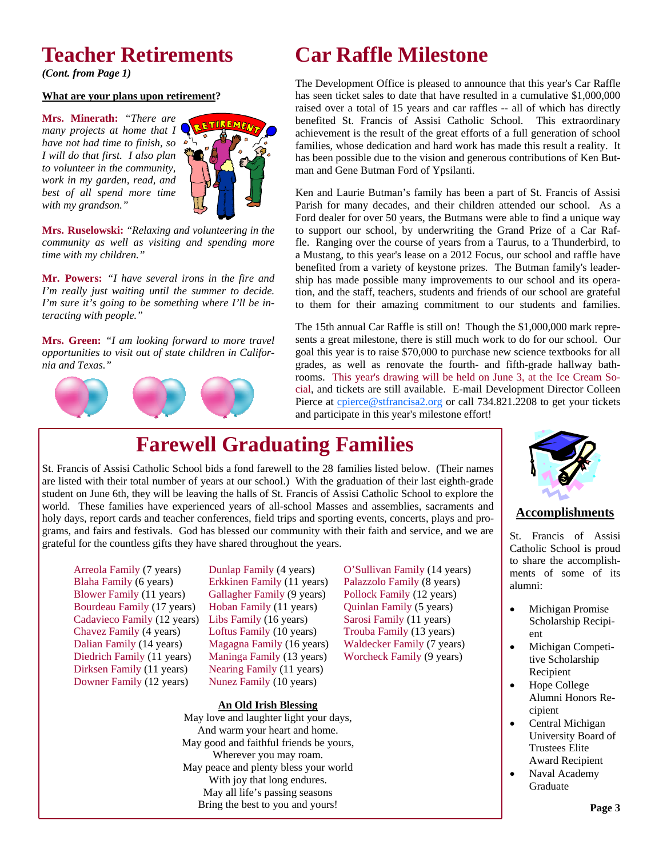### **Teacher Retirements**

*(Cont. from Page 1)* 

#### **What are your plans upon retirement?**

**Mrs. Minerath:** *"There are many projects at home that I have not had time to finish, so I will do that first. I also plan to volunteer in the community, work in my garden, read, and best of all spend more time with my grandson."* 



**Mrs. Ruselowski:** "*Relaxing and volunteering in the community as well as visiting and spending more time with my children."*

**Mr. Powers:** *"I have several irons in the fire and I'm really just waiting until the summer to decide. I'm sure it's going to be something where I'll be interacting with people."* 

**Mrs. Green:** *"I am looking forward to more travel opportunities to visit out of state children in California and Texas."*



## **Car Raffle Milestone**

The Development Office is pleased to announce that this year's Car Raffle has seen ticket sales to date that have resulted in a cumulative \$1,000,000 raised over a total of 15 years and car raffles -- all of which has directly benefited St. Francis of Assisi Catholic School. This extraordinary achievement is the result of the great efforts of a full generation of school families, whose dedication and hard work has made this result a reality. It has been possible due to the vision and generous contributions of Ken Butman and Gene Butman Ford of Ypsilanti.

Ken and Laurie Butman's family has been a part of St. Francis of Assisi Parish for many decades, and their children attended our school. As a Ford dealer for over 50 years, the Butmans were able to find a unique way to support our school, by underwriting the Grand Prize of a Car Raffle. Ranging over the course of years from a Taurus, to a Thunderbird, to a Mustang, to this year's lease on a 2012 Focus, our school and raffle have benefited from a variety of keystone prizes. The Butman family's leadership has made possible many improvements to our school and its operation, and the staff, teachers, students and friends of our school are grateful to them for their amazing commitment to our students and families.

The 15th annual Car Raffle is still on! Though the \$1,000,000 mark represents a great milestone, there is still much work to do for our school. Our goal this year is to raise \$70,000 to purchase new science textbooks for all grades, as well as renovate the fourth- and fifth-grade hallway bathrooms. This year's drawing will be held on June 3, at the Ice Cream Social, and tickets are still available. E-mail Development Director Colleen Pierce at cpierce@stfrancisa2.org or call 734.821.2208 to get your tickets and participate in this year's milestone effort!

## **Farewell Graduating Families**

St. Francis of Assisi Catholic School bids a fond farewell to the 28 families listed below. (Their names are listed with their total number of years at our school.) With the graduation of their last eighth-grade student on June 6th, they will be leaving the halls of St. Francis of Assisi Catholic School to explore the world. These families have experienced years of all-school Masses and assemblies, sacraments and holy days, report cards and teacher conferences, field trips and sporting events, concerts, plays and programs, and fairs and festivals. God has blessed our community with their faith and service, and we are grateful for the countless gifts they have shared throughout the years.

Arreola Family (7 years) Blaha Family (6 years) Blower Family (11 years) Bourdeau Family (17 years) Cadavieco Family (12 years) Chavez Family (4 years) Dalian Family (14 years) Diedrich Family (11 years) Dirksen Family (11 years) Downer Family (12 years)

Dunlap Family (4 years) Erkkinen Family (11 years) Gallagher Family (9 years) Hoban Family (11 years) Libs Family (16 years) Loftus Family (10 years) Magagna Family (16 years) Maninga Family (13 years) Nearing Family (11 years) Nunez Family (10 years)

**An Old Irish Blessing**

May love and laughter light your days, And warm your heart and home. May good and faithful friends be yours, Wherever you may roam. May peace and plenty bless your world With joy that long endures. May all life's passing seasons Bring the best to you and yours!

O'Sullivan Family (14 years) Palazzolo Family (8 years) Pollock Family (12 years) Quinlan Family (5 years) Sarosi Family (11 years) Trouba Family (13 years) Waldecker Family (7 years) Worcheck Family (9 years)



#### **Accomplishments**

St. Francis of Assisi Catholic School is proud to share the accomplishments of some of its alumni:

- Michigan Promise Scholarship Recipient
- Michigan Competitive Scholarship Recipient
- Hope College Alumni Honors Recipient
- Central Michigan University Board of Trustees Elite Award Recipient
- Naval Academy Graduate